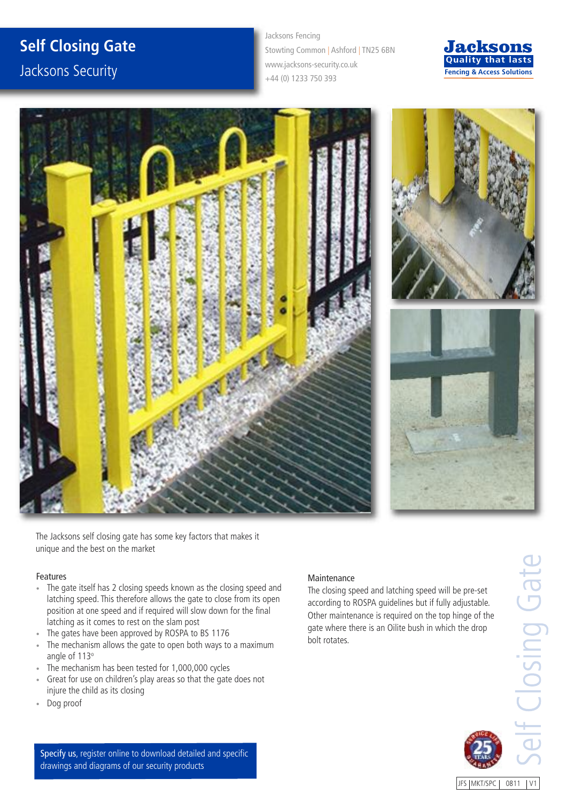## **Self Closing Gate**

Jacksons Security

Jacksons Fencing Stowting Common | Ashford | TN25 6BN www.jacksons-security.co.uk +44 (0) 1233 750 393







The Jacksons self closing gate has some key factors that makes it unique and the best on the market

## Features

- The gate itself has 2 closing speeds known as the closing speed and latching speed. This therefore allows the gate to close from its open position at one speed and if required will slow down for the final latching as it comes to rest on the slam post
- The gates have been approved by ROSPA to BS 1176
- The mechanism allows the gate to open both ways to a maximum angle of 113°
- The mechanism has been tested for 1,000,000 cycles
- Great for use on children's play areas so that the gate does not injure the child as its closing
- Dog proof

## Maintenance

The closing speed and latching speed will be pre-set according to ROSPA guidelines but if fully adjustable. Other maintenance is required on the top hinge of the gate where there is an Oilite bush in which the drop bolt rotates.

JFS | MKT/SPC | 0811 | V1

Specify us, register online to download detailed and specific drawings and diagrams of our security products